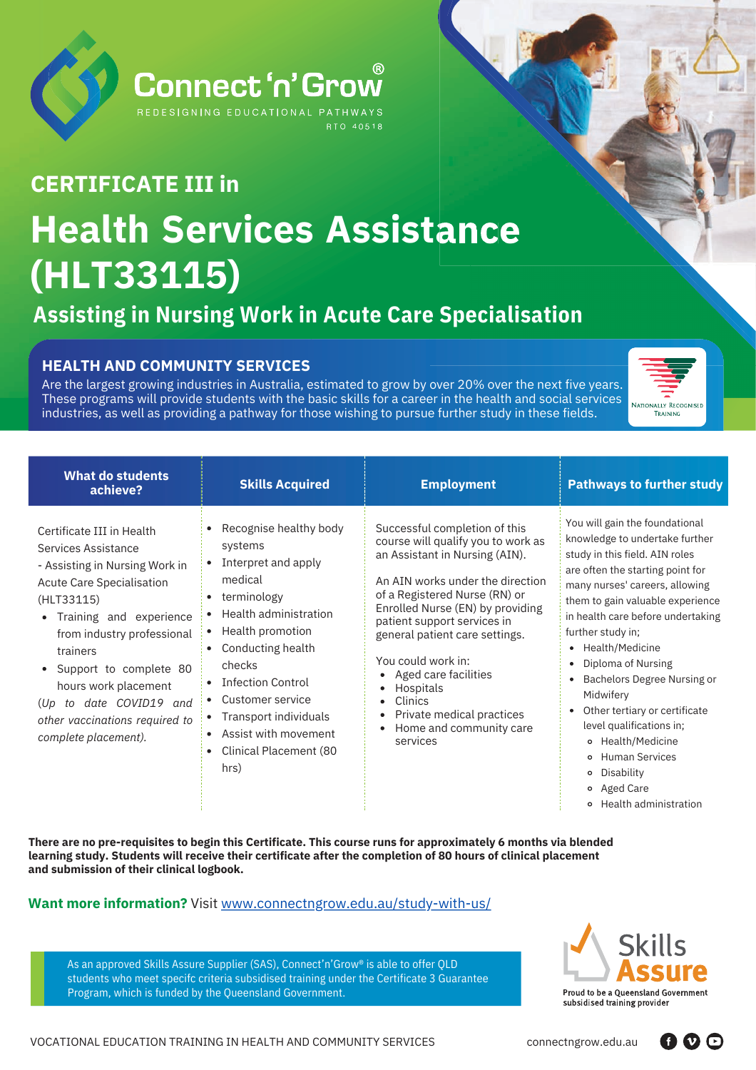

## **Health Services Assistance ance(HLT33115) CERTIFICATE III in**

### **Assisting in Nursing Work in Acute Care Specialisation**

#### **HEALTH AND COMMUNITY SERVICES**

Are the largest growing industries in Australia, estimated to grow by over 20% over the next five years. These programs will provide students with the basic skills for a career in the health and social services industries, as well as providing a pathway for those wishing to pursue further study in these fields.



| <b>What do students</b><br>achieve?                                                                                                                                                                                                                                                                                                                  | <b>Skills Acquired</b>                                                                                                                                                                                                                                                                                           | <b>Employment</b>                                                                                                                                                                                                                                                                                                                                                                                                                             | <b>Pathways to further study</b>                                                                                                                                                                                                                                                                                                                                                                                                                                                                                                                              |
|------------------------------------------------------------------------------------------------------------------------------------------------------------------------------------------------------------------------------------------------------------------------------------------------------------------------------------------------------|------------------------------------------------------------------------------------------------------------------------------------------------------------------------------------------------------------------------------------------------------------------------------------------------------------------|-----------------------------------------------------------------------------------------------------------------------------------------------------------------------------------------------------------------------------------------------------------------------------------------------------------------------------------------------------------------------------------------------------------------------------------------------|---------------------------------------------------------------------------------------------------------------------------------------------------------------------------------------------------------------------------------------------------------------------------------------------------------------------------------------------------------------------------------------------------------------------------------------------------------------------------------------------------------------------------------------------------------------|
| Certificate III in Health<br>Services Assistance<br>- Assisting in Nursing Work in<br>Acute Care Specialisation<br>(HLT33115)<br>Training and experience<br>from industry professional<br>trainers<br>• Support to complete 80<br>hours work placement<br>date COVID19<br>to<br>(Up<br>and<br>other vaccinations required to<br>complete placement). | • Recognise healthy body<br>systems<br>• Interpret and apply<br>medical<br>• terminology<br>• Health administration<br>• Health promotion<br>• Conducting health<br>checks<br>• Infection Control<br>• Customer service<br>• Transport individuals<br>• Assist with movement<br>• Clinical Placement (80<br>hrs) | Successful completion of this<br>course will qualify you to work as<br>an Assistant in Nursing (AIN).<br>An ATN works under the direction<br>of a Registered Nurse (RN) or<br>Enrolled Nurse (EN) by providing<br>patient support services in<br>general patient care settings.<br>You could work in:<br>Aged care facilities<br>٠<br>Hospitals<br>Clinics<br>٠<br>Private medical practices<br>٠<br>Home and community care<br>٠<br>services | You will gain the foundational<br>knowledge to undertake further<br>study in this field. AIN roles<br>are often the starting point for<br>many nurses' careers, allowing<br>them to gain valuable experience<br>in health care before undertaking<br>further study in;<br>• Health/Medicine<br>• Diploma of Nursing<br>Bachelors Degree Nursing or<br>Midwifery<br>• Other tertiary or certificate<br>level qualifications in;<br>o Health/Medicine<br><b>Human Services</b><br>$\circ$<br>Disability<br>$\circ$<br>o Aged Care<br>Health administration<br>o |

There are no pre-requisites to begin this Certificate. This course runs for approximately 6 months via blended **learning study. Students will receive their certificate after the completion of 80 hours of clinical placement and submission of their clinical logbook.**

#### **Want more information?** Visit [www.connectngrow.edu.au/study-with-us/](http://www.connectngrow.edu.au/study-with-us/)

As an approved Skills Assure Supplier (SAS), Connect'n'Grow® is able to offer QLD students who meet specifc criteria subsidised training under the Certificate 3 Guarantee Program, which is funded by the Queensland Government.



600